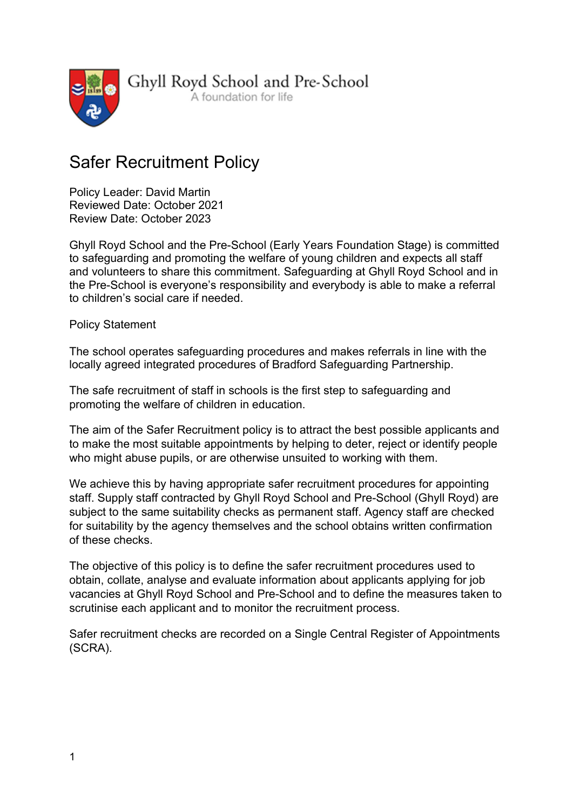

Ghyll Royd School and Pre-School

A foundation for life

# Safer Recruitment Policy

Policy Leader: David Martin Reviewed Date: October 2021 Review Date: October 2023

Ghyll Royd School and the Pre-School (Early Years Foundation Stage) is committed to safeguarding and promoting the welfare of young children and expects all staff and volunteers to share this commitment. Safeguarding at Ghyll Royd School and in the Pre-School is everyone's responsibility and everybody is able to make a referral to children's social care if needed.

Policy Statement

The school operates safeguarding procedures and makes referrals in line with the locally agreed integrated procedures of Bradford Safeguarding Partnership.

The safe recruitment of staff in schools is the first step to safeguarding and promoting the welfare of children in education.

The aim of the Safer Recruitment policy is to attract the best possible applicants and to make the most suitable appointments by helping to deter, reject or identify people who might abuse pupils, or are otherwise unsuited to working with them.

We achieve this by having appropriate safer recruitment procedures for appointing staff. Supply staff contracted by Ghyll Royd School and Pre-School (Ghyll Royd) are subject to the same suitability checks as permanent staff. Agency staff are checked for suitability by the agency themselves and the school obtains written confirmation of these checks.

The objective of this policy is to define the safer recruitment procedures used to obtain, collate, analyse and evaluate information about applicants applying for job vacancies at Ghyll Royd School and Pre-School and to define the measures taken to scrutinise each applicant and to monitor the recruitment process.

Safer recruitment checks are recorded on a Single Central Register of Appointments (SCRA).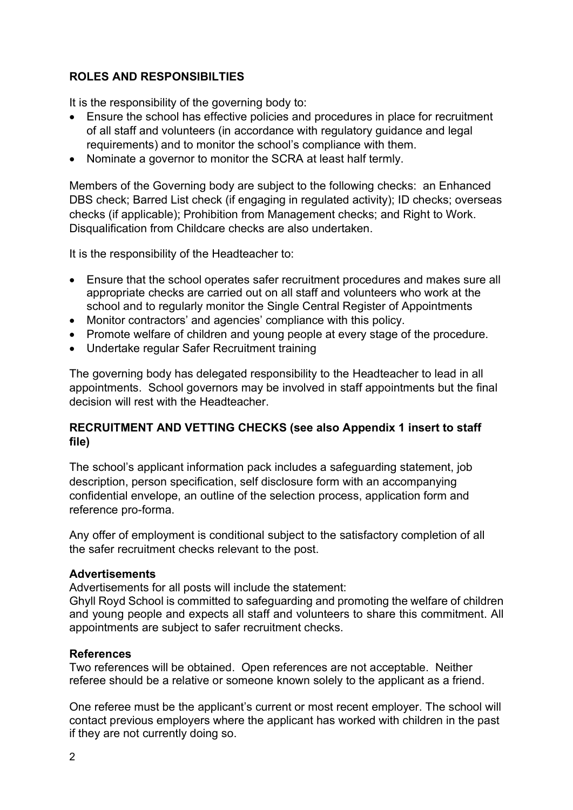## ROLES AND RESPONSIBILTIES

It is the responsibility of the governing body to:

- Ensure the school has effective policies and procedures in place for recruitment of all staff and volunteers (in accordance with regulatory guidance and legal requirements) and to monitor the school's compliance with them.
- Nominate a governor to monitor the SCRA at least half termly.

Members of the Governing body are subject to the following checks: an Enhanced DBS check; Barred List check (if engaging in regulated activity); ID checks; overseas checks (if applicable); Prohibition from Management checks; and Right to Work. Disqualification from Childcare checks are also undertaken.

It is the responsibility of the Headteacher to:

- Ensure that the school operates safer recruitment procedures and makes sure all appropriate checks are carried out on all staff and volunteers who work at the school and to regularly monitor the Single Central Register of Appointments
- Monitor contractors' and agencies' compliance with this policy.
- Promote welfare of children and young people at every stage of the procedure.
- Undertake regular Safer Recruitment training

The governing body has delegated responsibility to the Headteacher to lead in all appointments. School governors may be involved in staff appointments but the final decision will rest with the Headteacher.

## RECRUITMENT AND VETTING CHECKS (see also Appendix 1 insert to staff file)

The school's applicant information pack includes a safeguarding statement, job description, person specification, self disclosure form with an accompanying confidential envelope, an outline of the selection process, application form and reference pro-forma.

Any offer of employment is conditional subject to the satisfactory completion of all the safer recruitment checks relevant to the post.

#### Advertisements

Advertisements for all posts will include the statement:

Ghyll Royd School is committed to safeguarding and promoting the welfare of children and young people and expects all staff and volunteers to share this commitment. All appointments are subject to safer recruitment checks.

#### References

Two references will be obtained. Open references are not acceptable. Neither referee should be a relative or someone known solely to the applicant as a friend.

One referee must be the applicant's current or most recent employer. The school will contact previous employers where the applicant has worked with children in the past if they are not currently doing so.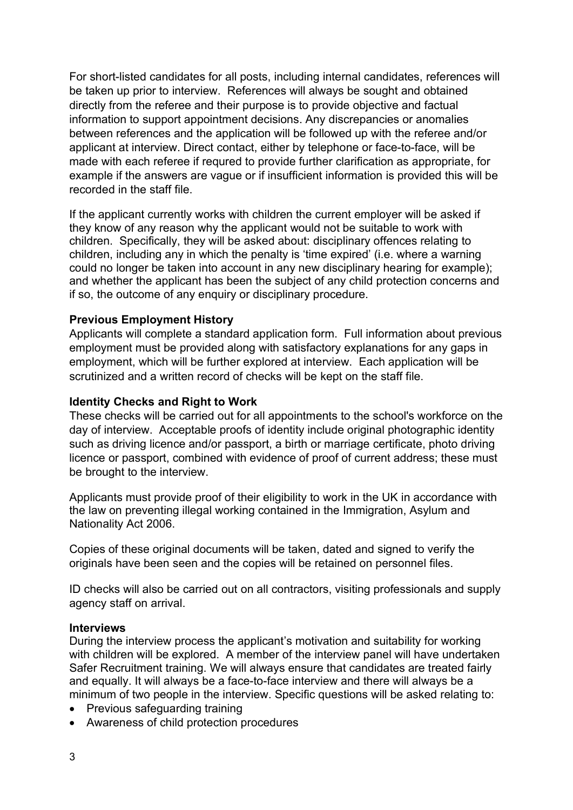For short-listed candidates for all posts, including internal candidates, references will be taken up prior to interview. References will always be sought and obtained directly from the referee and their purpose is to provide objective and factual information to support appointment decisions. Any discrepancies or anomalies between references and the application will be followed up with the referee and/or applicant at interview. Direct contact, either by telephone or face-to-face, will be made with each referee if requred to provide further clarification as appropriate, for example if the answers are vague or if insufficient information is provided this will be recorded in the staff file.

If the applicant currently works with children the current employer will be asked if they know of any reason why the applicant would not be suitable to work with children. Specifically, they will be asked about: disciplinary offences relating to children, including any in which the penalty is 'time expired' (i.e. where a warning could no longer be taken into account in any new disciplinary hearing for example); and whether the applicant has been the subject of any child protection concerns and if so, the outcome of any enquiry or disciplinary procedure.

#### Previous Employment History

Applicants will complete a standard application form. Full information about previous employment must be provided along with satisfactory explanations for any gaps in employment, which will be further explored at interview. Each application will be scrutinized and a written record of checks will be kept on the staff file.

#### Identity Checks and Right to Work

These checks will be carried out for all appointments to the school's workforce on the day of interview. Acceptable proofs of identity include original photographic identity such as driving licence and/or passport, a birth or marriage certificate, photo driving licence or passport, combined with evidence of proof of current address; these must be brought to the interview.

Applicants must provide proof of their eligibility to work in the UK in accordance with the law on preventing illegal working contained in the Immigration, Asylum and Nationality Act 2006.

Copies of these original documents will be taken, dated and signed to verify the originals have been seen and the copies will be retained on personnel files.

ID checks will also be carried out on all contractors, visiting professionals and supply agency staff on arrival.

#### **Interviews**

During the interview process the applicant's motivation and suitability for working with children will be explored. A member of the interview panel will have undertaken Safer Recruitment training. We will always ensure that candidates are treated fairly and equally. It will always be a face-to-face interview and there will always be a minimum of two people in the interview. Specific questions will be asked relating to:

- Previous safeguarding training
- Awareness of child protection procedures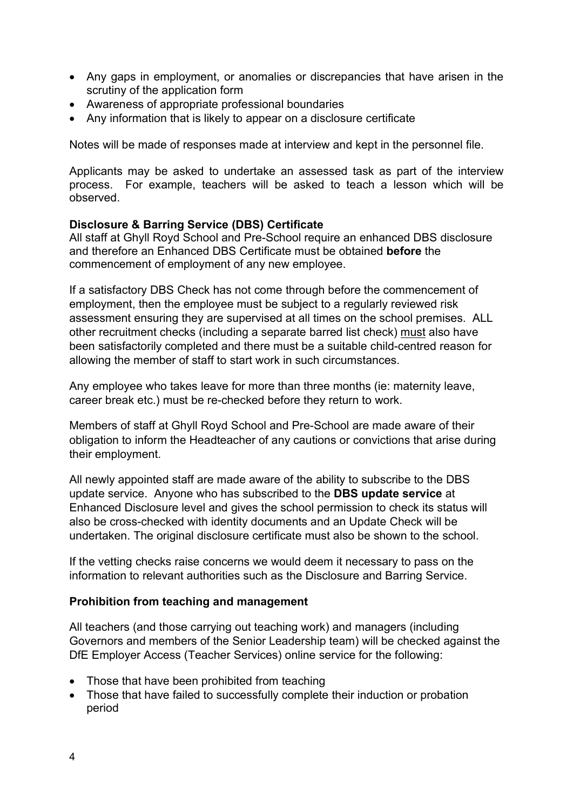- Any gaps in employment, or anomalies or discrepancies that have arisen in the scrutiny of the application form
- Awareness of appropriate professional boundaries
- Any information that is likely to appear on a disclosure certificate

Notes will be made of responses made at interview and kept in the personnel file.

Applicants may be asked to undertake an assessed task as part of the interview process. For example, teachers will be asked to teach a lesson which will be observed.

#### Disclosure & Barring Service (DBS) Certificate

All staff at Ghyll Royd School and Pre-School require an enhanced DBS disclosure and therefore an Enhanced DBS Certificate must be obtained before the commencement of employment of any new employee.

If a satisfactory DBS Check has not come through before the commencement of employment, then the employee must be subject to a regularly reviewed risk assessment ensuring they are supervised at all times on the school premises. ALL other recruitment checks (including a separate barred list check) must also have been satisfactorily completed and there must be a suitable child-centred reason for allowing the member of staff to start work in such circumstances.

Any employee who takes leave for more than three months (ie: maternity leave, career break etc.) must be re-checked before they return to work.

Members of staff at Ghyll Royd School and Pre-School are made aware of their obligation to inform the Headteacher of any cautions or convictions that arise during their employment.

All newly appointed staff are made aware of the ability to subscribe to the DBS update service. Anyone who has subscribed to the DBS update service at Enhanced Disclosure level and gives the school permission to check its status will also be cross-checked with identity documents and an Update Check will be undertaken. The original disclosure certificate must also be shown to the school.

If the vetting checks raise concerns we would deem it necessary to pass on the information to relevant authorities such as the Disclosure and Barring Service.

#### Prohibition from teaching and management

All teachers (and those carrying out teaching work) and managers (including Governors and members of the Senior Leadership team) will be checked against the DfE Employer Access (Teacher Services) online service for the following:

- Those that have been prohibited from teaching
- Those that have failed to successfully complete their induction or probation period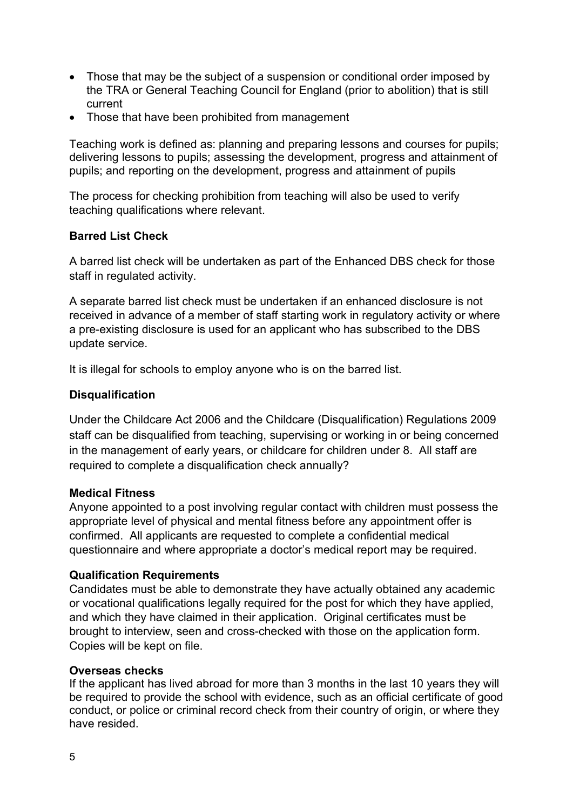- Those that may be the subject of a suspension or conditional order imposed by the TRA or General Teaching Council for England (prior to abolition) that is still current
- Those that have been prohibited from management

Teaching work is defined as: planning and preparing lessons and courses for pupils; delivering lessons to pupils; assessing the development, progress and attainment of pupils; and reporting on the development, progress and attainment of pupils

The process for checking prohibition from teaching will also be used to verify teaching qualifications where relevant.

## Barred List Check

A barred list check will be undertaken as part of the Enhanced DBS check for those staff in regulated activity.

A separate barred list check must be undertaken if an enhanced disclosure is not received in advance of a member of staff starting work in regulatory activity or where a pre-existing disclosure is used for an applicant who has subscribed to the DBS update service.

It is illegal for schools to employ anyone who is on the barred list.

## **Disqualification**

Under the Childcare Act 2006 and the Childcare (Disqualification) Regulations 2009 staff can be disqualified from teaching, supervising or working in or being concerned in the management of early years, or childcare for children under 8. All staff are required to complete a disqualification check annually?

## Medical Fitness

Anyone appointed to a post involving regular contact with children must possess the appropriate level of physical and mental fitness before any appointment offer is confirmed. All applicants are requested to complete a confidential medical questionnaire and where appropriate a doctor's medical report may be required.

## Qualification Requirements

Candidates must be able to demonstrate they have actually obtained any academic or vocational qualifications legally required for the post for which they have applied, and which they have claimed in their application. Original certificates must be brought to interview, seen and cross-checked with those on the application form. Copies will be kept on file.

## Overseas checks

If the applicant has lived abroad for more than 3 months in the last 10 years they will be required to provide the school with evidence, such as an official certificate of good conduct, or police or criminal record check from their country of origin, or where they have resided.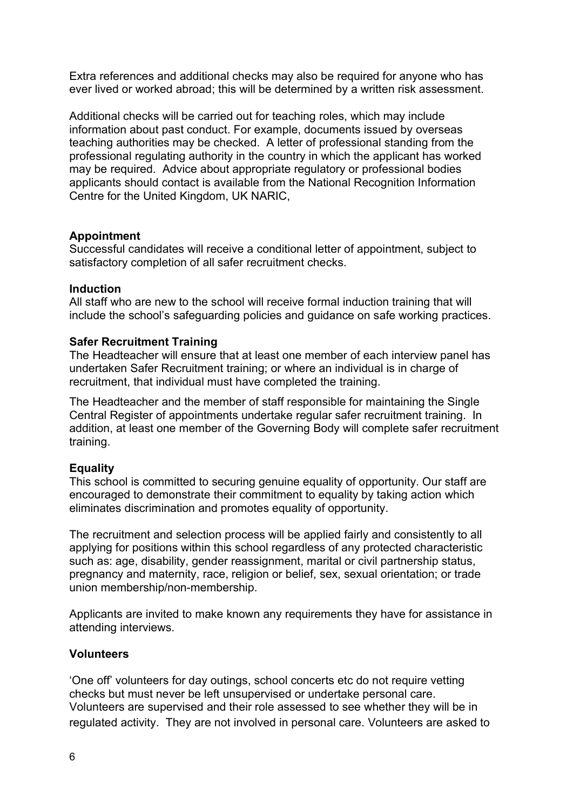Extra references and additional checks may also be required for anyone who has ever lived or worked abroad; this will be determined by a written risk assessment.

Additional checks will be carried out for teaching roles, which may include information about past conduct. For example, documents issued by overseas teaching authorities may be checked. A letter of professional standing from the professional regulating authority in the country in which the applicant has worked may be required. Advice about appropriate regulatory or professional bodies applicants should contact is available from the National Recognition Information Centre for the United Kingdom, UK NARIC,

#### Appointment

Successful candidates will receive a conditional letter of appointment, subject to satisfactory completion of all safer recruitment checks.

#### **Induction**

All staff who are new to the school will receive formal induction training that will include the school's safeguarding policies and guidance on safe working practices.

#### Safer Recruitment Training

The Headteacher will ensure that at least one member of each interview panel has undertaken Safer Recruitment training; or where an individual is in charge of recruitment, that individual must have completed the training.

The Headteacher and the member of staff responsible for maintaining the Single Central Register of appointments undertake regular safer recruitment training. In addition, at least one member of the Governing Body will complete safer recruitment training.

#### **Equality**

This school is committed to securing genuine equality of opportunity. Our staff are encouraged to demonstrate their commitment to equality by taking action which eliminates discrimination and promotes equality of opportunity.

The recruitment and selection process will be applied fairly and consistently to all applying for positions within this school regardless of any protected characteristic such as: age, disability, gender reassignment, marital or civil partnership status, pregnancy and maternity, race, religion or belief, sex, sexual orientation; or trade union membership/non-membership.

Applicants are invited to make known any requirements they have for assistance in attending interviews.

#### **Volunteers**

'One off' volunteers for day outings, school concerts etc do not require vetting checks but must never be left unsupervised or undertake personal care. Volunteers are supervised and their role assessed to see whether they will be in regulated activity. They are not involved in personal care. Volunteers are asked to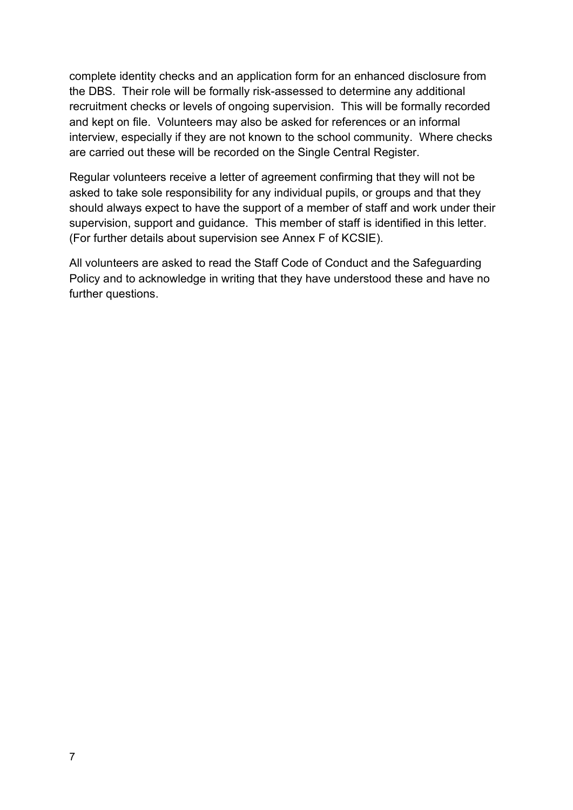complete identity checks and an application form for an enhanced disclosure from the DBS. Their role will be formally risk-assessed to determine any additional recruitment checks or levels of ongoing supervision. This will be formally recorded and kept on file. Volunteers may also be asked for references or an informal interview, especially if they are not known to the school community. Where checks are carried out these will be recorded on the Single Central Register.

Regular volunteers receive a letter of agreement confirming that they will not be asked to take sole responsibility for any individual pupils, or groups and that they should always expect to have the support of a member of staff and work under their supervision, support and guidance. This member of staff is identified in this letter. (For further details about supervision see Annex F of KCSIE).

All volunteers are asked to read the Staff Code of Conduct and the Safeguarding Policy and to acknowledge in writing that they have understood these and have no further questions.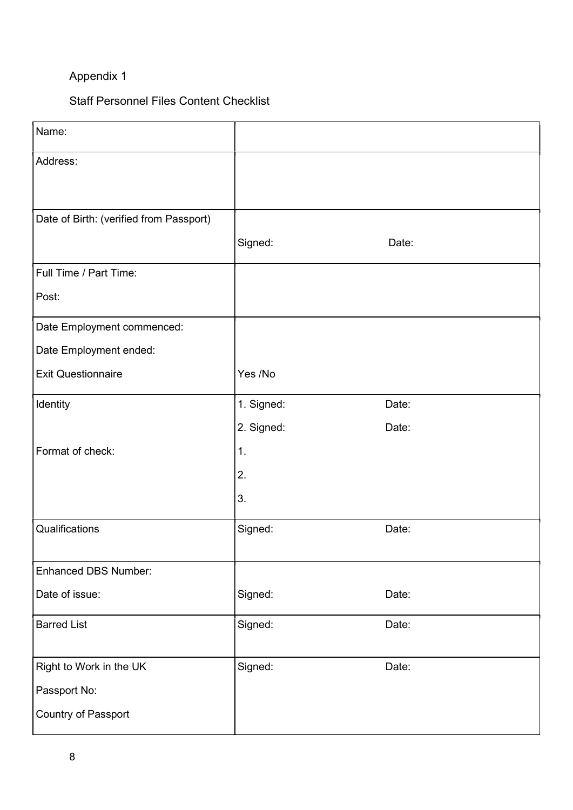# Appendix 1

# Staff Personnel Files Content Checklist

| Name:                                   |            |       |
|-----------------------------------------|------------|-------|
| Address:                                |            |       |
| Date of Birth: (verified from Passport) |            |       |
|                                         | Signed:    | Date: |
| Full Time / Part Time:                  |            |       |
| Post:                                   |            |       |
| Date Employment commenced:              |            |       |
| Date Employment ended:                  |            |       |
| <b>Exit Questionnaire</b>               | Yes /No    |       |
| Identity                                | 1. Signed: | Date: |
|                                         | 2. Signed: | Date: |
| Format of check:                        | 1.         |       |
|                                         | 2.         |       |
|                                         | 3.         |       |
| Qualifications                          | Signed:    | Date: |
| <b>Enhanced DBS Number:</b>             |            |       |
| Date of issue:                          | Signed:    | Date: |
| <b>Barred List</b>                      | Signed:    | Date: |
| Right to Work in the UK                 | Signed:    | Date: |
| Passport No:                            |            |       |
| Country of Passport                     |            |       |